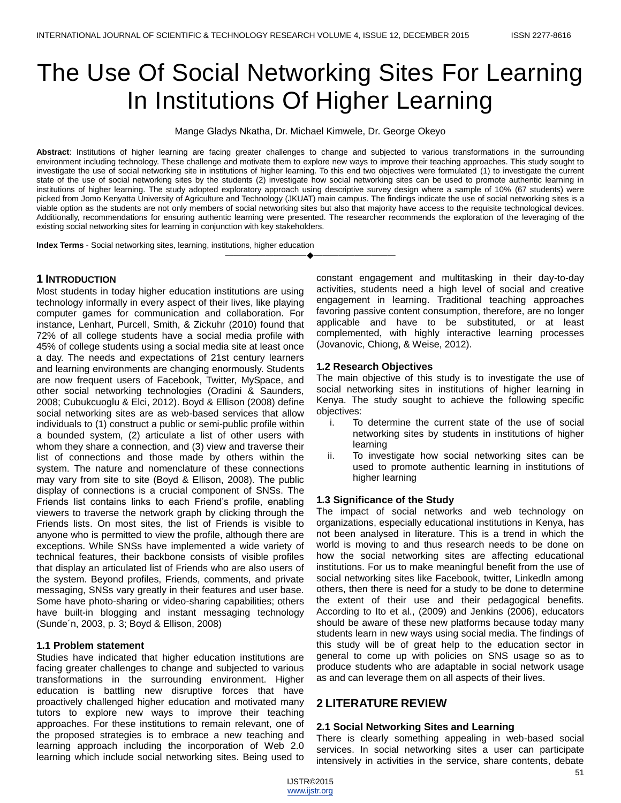# The Use Of Social Networking Sites For Learning In Institutions Of Higher Learning

Mange Gladys Nkatha, Dr. Michael Kimwele, Dr. George Okeyo

**Abstract**: Institutions of higher learning are facing greater challenges to change and subjected to various transformations in the surrounding environment including technology. These challenge and motivate them to explore new ways to improve their teaching approaches. This study sought to investigate the use of social networking site in institutions of higher learning. To this end two objectives were formulated (1) to investigate the current state of the use of social networking sites by the students (2) investigate how social networking sites can be used to promote authentic learning in institutions of higher learning. The study adopted exploratory approach using descriptive survey design where a sample of 10% (67 students) were picked from Jomo Kenyatta University of Agriculture and Technology (JKUAT) main campus. The findings indicate the use of social networking sites is a viable option as the students are not only members of social networking sites but also that majority have access to the requisite technological devices. Additionally, recommendations for ensuring authentic learning were presented. The researcher recommends the exploration of the leveraging of the existing social networking sites for learning in conjunction with key stakeholders.

————————————————————

**Index Terms** - Social networking sites, learning, institutions, higher education

# **1 INTRODUCTION**

Most students in today higher education institutions are using technology informally in every aspect of their lives, like playing computer games for communication and collaboration. For instance, Lenhart, Purcell, Smith, & Zickuhr (2010) found that 72% of all college students have a social media profile with 45% of college students using a social media site at least once a day. The needs and expectations of 21st century learners and learning environments are changing enormously. Students are now frequent users of Facebook, Twitter, MySpace, and other social networking technologies (Oradini & Saunders, 2008; Cubukcuoglu & Elci, 2012). Boyd & Ellison (2008) define social networking sites are as web-based services that allow individuals to (1) construct a public or semi-public profile within a bounded system, (2) articulate a list of other users with whom they share a connection, and (3) view and traverse their list of connections and those made by others within the system. The nature and nomenclature of these connections may vary from site to site (Boyd & Ellison, 2008). The public display of connections is a crucial component of SNSs. The Friends list contains links to each Friend's profile, enabling viewers to traverse the network graph by clicking through the Friends lists. On most sites, the list of Friends is visible to anyone who is permitted to view the profile, although there are exceptions. While SNSs have implemented a wide variety of technical features, their backbone consists of visible profiles that display an articulated list of Friends who are also users of the system. Beyond profiles, Friends, comments, and private messaging, SNSs vary greatly in their features and user base. Some have photo-sharing or video-sharing capabilities; others have built-in blogging and instant messaging technology (Sunde´n, 2003, p. 3; Boyd & Ellison, 2008)

## **1.1 Problem statement**

Studies have indicated that higher education institutions are facing greater challenges to change and subjected to various transformations in the surrounding environment. Higher education is battling new disruptive forces that have proactively challenged higher education and motivated many tutors to explore new ways to improve their teaching approaches. For these institutions to remain relevant, one of the proposed strategies is to embrace a new teaching and learning approach including the incorporation of Web 2.0 learning which include social networking sites. Being used to constant engagement and multitasking in their day-to-day activities, students need a high level of social and creative engagement in learning. Traditional teaching approaches favoring passive content consumption, therefore, are no longer applicable and have to be substituted, or at least complemented, with highly interactive learning processes (Jovanovic, Chiong, & Weise, 2012).

## **1.2 Research Objectives**

The main objective of this study is to investigate the use of social networking sites in institutions of higher learning in Kenya. The study sought to achieve the following specific objectives:

- i. To determine the current state of the use of social networking sites by students in institutions of higher learning
- ii. To investigate how social networking sites can be used to promote authentic learning in institutions of higher learning

## **1.3 Significance of the Study**

The impact of social networks and web technology on organizations, especially educational institutions in Kenya, has not been analysed in literature. This is a trend in which the world is moving to and thus research needs to be done on how the social networking sites are affecting educational institutions. For us to make meaningful benefit from the use of social networking sites like Facebook, twitter, Linkedln among others, then there is need for a study to be done to determine the extent of their use and their pedagogical benefits. According to Ito et al., (2009) and Jenkins (2006), educators should be aware of these new platforms because today many students learn in new ways using social media. The findings of this study will be of great help to the education sector in general to come up with policies on SNS usage so as to produce students who are adaptable in social network usage as and can leverage them on all aspects of their lives.

# **2 LITERATURE REVIEW**

## **2.1 Social Networking Sites and Learning**

There is clearly something appealing in web-based social services. In social networking sites a user can participate intensively in activities in the service, share contents, debate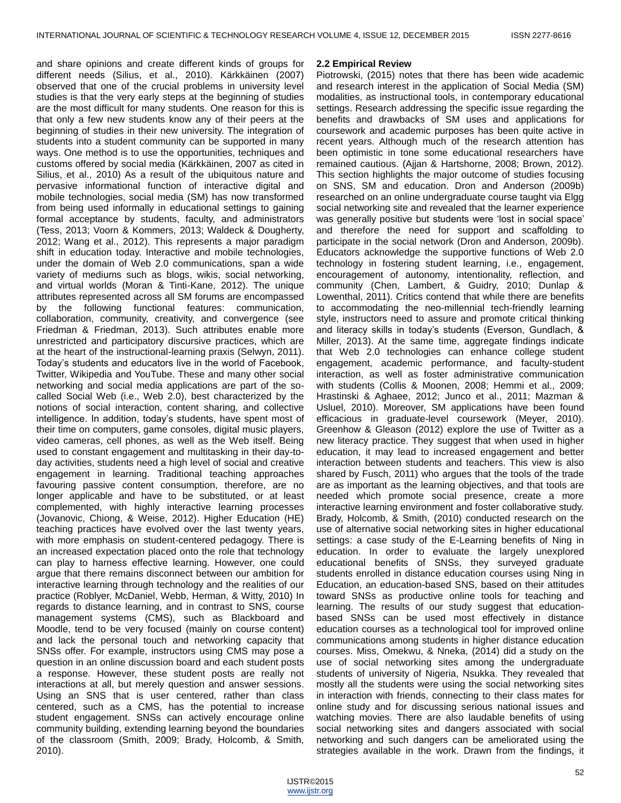and share opinions and create different kinds of groups for different needs (Silius, et al., 2010). Kärkkäinen (2007) observed that one of the crucial problems in university level studies is that the very early steps at the beginning of studies are the most difficult for many students. One reason for this is that only a few new students know any of their peers at the beginning of studies in their new university. The integration of students into a student community can be supported in many ways. One method is to use the opportunities, techniques and customs offered by social media (Kärkkäinen, 2007 as cited in Silius, et al., 2010) As a result of the ubiquitous nature and pervasive informational function of interactive digital and mobile technologies, social media (SM) has now transformed from being used informally in educational settings to gaining formal acceptance by students, faculty, and administrators (Tess, 2013; Voorn & Kommers, 2013; Waldeck & Dougherty, 2012; Wang et al., 2012). This represents a major paradigm shift in education today. Interactive and mobile technologies, under the domain of Web 2.0 communications, span a wide variety of mediums such as blogs, wikis, social networking, and virtual worlds (Moran & Tinti-Kane, 2012). The unique attributes represented across all SM forums are encompassed by the following functional features: communication, collaboration, community, creativity, and convergence (see Friedman & Friedman, 2013). Such attributes enable more unrestricted and participatory discursive practices, which are at the heart of the instructional-learning praxis (Selwyn, 2011). Today's students and educators live in the world of Facebook, Twitter, Wikipedia and YouTube. These and many other social networking and social media applications are part of the socalled Social Web (i.e., Web 2.0), best characterized by the notions of social interaction, content sharing, and collective intelligence. In addition, today's students, have spent most of their time on computers, game consoles, digital music players, video cameras, cell phones, as well as the Web itself. Being used to constant engagement and multitasking in their day-today activities, students need a high level of social and creative engagement in learning. Traditional teaching approaches favouring passive content consumption, therefore, are no longer applicable and have to be substituted, or at least complemented, with highly interactive learning processes (Jovanovic, Chiong, & Weise, 2012). Higher Education (HE) teaching practices have evolved over the last twenty years, with more emphasis on student-centered pedagogy. There is an increased expectation placed onto the role that technology can play to harness effective learning. However, one could argue that there remains disconnect between our ambition for interactive learning through technology and the realities of our practice (Roblyer, McDaniel, Webb, Herman, & Witty, 2010) In regards to distance learning, and in contrast to SNS, course management systems (CMS), such as Blackboard and Moodle, tend to be very focused (mainly on course content) and lack the personal touch and networking capacity that SNSs offer. For example, instructors using CMS may pose a question in an online discussion board and each student posts a response. However, these student posts are really not interactions at all, but merely question and answer sessions. Using an SNS that is user centered, rather than class centered, such as a CMS, has the potential to increase student engagement. SNSs can actively encourage online community building, extending learning beyond the boundaries of the classroom (Smith, 2009; Brady, Holcomb, & Smith, 2010).

#### **2.2 Empirical Review**

Piotrowski, (2015) notes that there has been wide academic and research interest in the application of Social Media (SM) modalities, as instructional tools, in contemporary educational settings. Research addressing the specific issue regarding the benefits and drawbacks of SM uses and applications for coursework and academic purposes has been quite active in recent years. Although much of the research attention has been optimistic in tone some educational researchers have remained cautious. (Ajjan & Hartshorne, 2008; Brown, 2012). This section highlights the major outcome of studies focusing on SNS, SM and education. Dron and Anderson (2009b) researched on an online undergraduate course taught via Elgg social networking site and revealed that the learner experience was generally positive but students were 'lost in social space' and therefore the need for support and scaffolding to participate in the social network (Dron and Anderson, 2009b). Educators acknowledge the supportive functions of Web 2.0 technology in fostering student learning, i.e., engagement, encouragement of autonomy, intentionality, reflection, and community (Chen, Lambert, & Guidry, 2010; Dunlap & Lowenthal, 2011). Critics contend that while there are benefits to accommodating the neo-millennial tech-friendly learning style, instructors need to assure and promote critical thinking and literacy skills in today's students (Everson, Gundlach, & Miller, 2013). At the same time, aggregate findings indicate that Web 2.0 technologies can enhance college student engagement, academic performance, and faculty-student interaction, as well as foster administrative communication with students (Collis & Moonen, 2008; Hemmi et al., 2009; Hrastinski & Aghaee, 2012; Junco et al., 2011; Mazman & Usluel, 2010). Moreover, SM applications have been found efficacious in graduate-level coursework (Meyer, 2010). Greenhow & Gleason (2012) explore the use of Twitter as a new literacy practice. They suggest that when used in higher education, it may lead to increased engagement and better interaction between students and teachers. This view is also shared by Fusch, 2011) who argues that the tools of the trade are as important as the learning objectives, and that tools are needed which promote social presence, create a more interactive learning environment and foster collaborative study. Brady, Holcomb, & Smith, (2010) conducted research on the use of alternative social networking sites in higher educational settings: a case study of the E-Learning benefits of Ning in education. In order to evaluate the largely unexplored educational benefits of SNSs, they surveyed graduate students enrolled in distance education courses using Ning in Education, an education-based SNS, based on their attitudes toward SNSs as productive online tools for teaching and learning. The results of our study suggest that educationbased SNSs can be used most effectively in distance education courses as a technological tool for improved online communications among students in higher distance education courses. Miss, Omekwu, & Nneka, (2014) did a study on the use of social networking sites among the undergraduate students of university of Nigeria, Nsukka. They revealed that mostly all the students were using the social networking sites in interaction with friends, connecting to their class mates for online study and for discussing serious national issues and watching movies. There are also laudable benefits of using social networking sites and dangers associated with social networking and such dangers can be ameliorated using the strategies available in the work. Drawn from the findings, it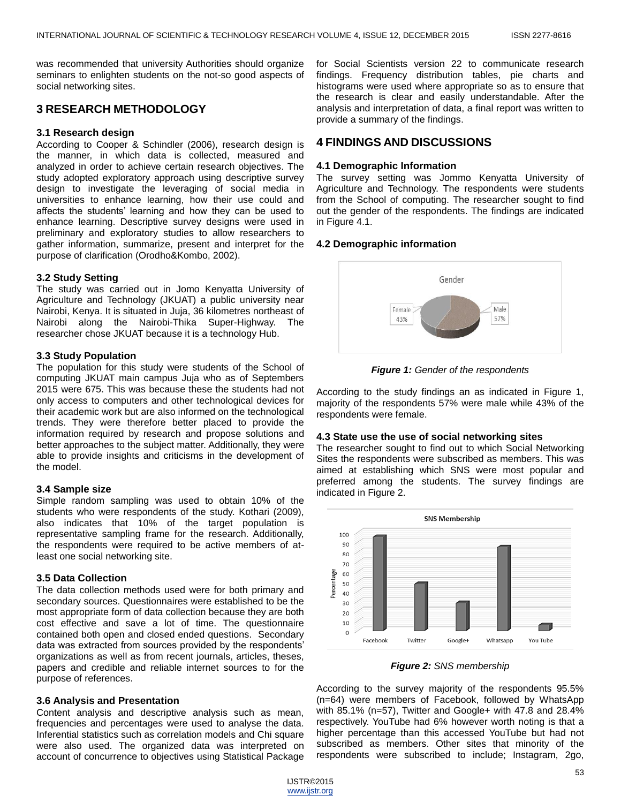was recommended that university Authorities should organize seminars to enlighten students on the not-so good aspects of social networking sites.

# **3 RESEARCH METHODOLOGY**

#### **3.1 Research design**

According to Cooper & Schindler (2006), research design is the manner, in which data is collected, measured and analyzed in order to achieve certain research objectives. The study adopted exploratory approach using descriptive survey design to investigate the leveraging of social media in universities to enhance learning, how their use could and affects the students' learning and how they can be used to enhance learning. Descriptive survey designs were used in preliminary and exploratory studies to allow researchers to gather information, summarize, present and interpret for the purpose of clarification (Orodho&Kombo, 2002).

#### **3.2 Study Setting**

The study was carried out in Jomo Kenyatta University of Agriculture and Technology (JKUAT) a public university near [Nairobi,](http://en.wikipedia.org/wiki/Nairobi) Kenya. It is situated in [Juja,](http://en.wikipedia.org/wiki/Juja) 36 kilometres northeast of Nairobi along the Nairobi[-Thika](http://en.wikipedia.org/wiki/Thika) Super-Highway. The researcher chose JKUAT because it is a technology Hub.

#### **3.3 Study Population**

The population for this study were students of the School of computing JKUAT main campus Juja who as of Septembers 2015 were 675. This was because these the students had not only access to computers and other technological devices for their academic work but are also informed on the technological trends. They were therefore better placed to provide the information required by research and propose solutions and better approaches to the subject matter. Additionally, they were able to provide insights and criticisms in the development of the model.

#### **3.4 Sample size**

Simple random sampling was used to obtain 10% of the students who were respondents of the study. Kothari (2009), also indicates that 10% of the target population is representative sampling frame for the research. Additionally, the respondents were required to be active members of atleast one social networking site.

## **3.5 Data Collection**

The data collection methods used were for both primary and secondary sources. Questionnaires were established to be the most appropriate form of data collection because they are both cost effective and save a lot of time. The questionnaire contained both open and closed ended questions. Secondary data was extracted from sources provided by the respondents' organizations as well as from recent journals, articles, theses, papers and credible and reliable internet sources to for the purpose of references.

## **3.6 Analysis and Presentation**

Content analysis and descriptive analysis such as mean, frequencies and percentages were used to analyse the data. Inferential statistics such as correlation models and Chi square were also used. The organized data was interpreted on account of concurrence to objectives using Statistical Package for Social Scientists version 22 to communicate research findings. Frequency distribution tables, pie charts and histograms were used where appropriate so as to ensure that the research is clear and easily understandable. After the analysis and interpretation of data, a final report was written to provide a summary of the findings.

## **4 FINDINGS AND DISCUSSIONS**

## **4.1 Demographic Information**

The survey setting was Jommo Kenyatta University of Agriculture and Technology. The respondents were students from the School of computing. The researcher sought to find out the gender of the respondents. The findings are indicated in Figure 4.1.

## **4.2 Demographic information**



*Figure 1: Gender of the respondents*

According to the study findings an as indicated in Figure 1, majority of the respondents 57% were male while 43% of the respondents were female.

#### **4.3 State use the use of social networking sites**

The researcher sought to find out to which Social Networking Sites the respondents were subscribed as members. This was aimed at establishing which SNS were most popular and preferred among the students. The survey findings are indicated in Figure 2.



*Figure 2: SNS membership*

According to the survey majority of the respondents 95.5% (n=64) were members of Facebook, followed by WhatsApp with 85.1% (n=57), Twitter and Google+ with 47.8 and 28.4% respectively. YouTube had 6% however worth noting is that a higher percentage than this accessed YouTube but had not subscribed as members. Other sites that minority of the respondents were subscribed to include; Instagram, 2go,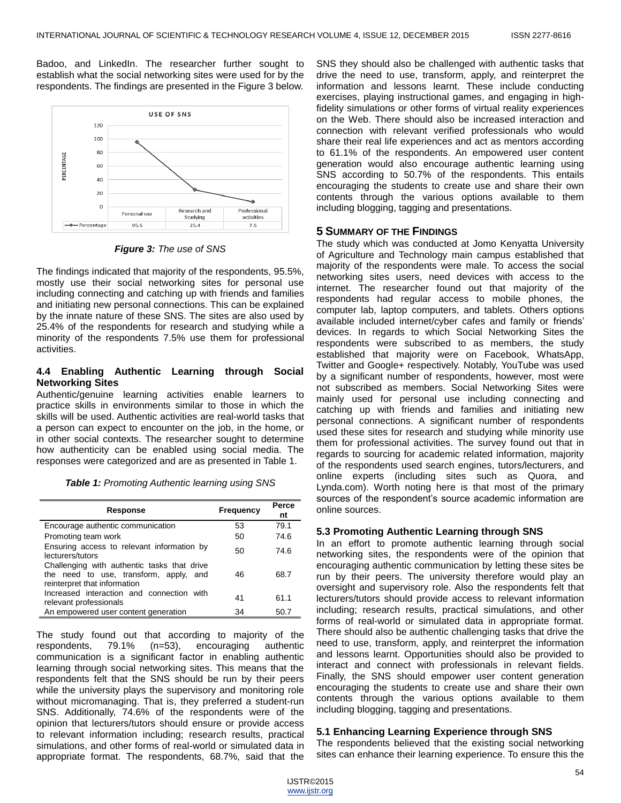Badoo, and LinkedIn. The researcher further sought to establish what the social networking sites were used for by the respondents. The findings are presented in the Figure 3 below.



*Figure 3: The use of SNS*

The findings indicated that majority of the respondents, 95.5%, mostly use their social networking sites for personal use including connecting and catching up with friends and families and initiating new personal connections. This can be explained by the innate nature of these SNS. The sites are also used by 25.4% of the respondents for research and studying while a minority of the respondents 7.5% use them for professional activities.

## **4.4 Enabling Authentic Learning through Social Networking Sites**

Authentic/genuine learning activities enable learners to practice skills in environments similar to those in which the skills will be used. Authentic activities are real-world tasks that a person can expect to encounter on the job, in the home, or in other social contexts. The researcher sought to determine how authenticity can be enabled using social media. The responses were categorized and are as presented in Table 1.

*Table 1: Promoting Authentic learning using SNS*

| Response                                                                                                              | Frequency | Perce<br>nt |
|-----------------------------------------------------------------------------------------------------------------------|-----------|-------------|
| Encourage authentic communication                                                                                     | 53        | 79.1        |
| Promoting team work                                                                                                   | 50        | 74.6        |
| Ensuring access to relevant information by<br>lecturers/tutors                                                        | 50        | 74.6        |
| Challenging with authentic tasks that drive<br>the need to use, transform, apply, and<br>reinterpret that information | 46        | 68.7        |
| Increased interaction and connection with<br>relevant professionals                                                   | 41        | 61.1        |
| An empowered user content generation                                                                                  | 34        | 50.7        |

The study found out that according to majority of the respondents, 79.1% (n=53), encouraging authentic communication is a significant factor in enabling authentic learning through social networking sites. This means that the respondents felt that the SNS should be run by their peers while the university plays the supervisory and monitoring role without micromanaging. That is, they preferred a student-run SNS. Additionally, 74.6% of the respondents were of the opinion that lecturers/tutors should ensure or provide access to relevant information including; research results, practical simulations, and other forms of real-world or simulated data in appropriate format. The respondents, 68.7%, said that the

SNS they should also be challenged with authentic tasks that drive the need to use, transform, apply, and reinterpret the information and lessons learnt. These include conducting exercises, playing instructional games, and engaging in highfidelity simulations or other forms of virtual reality experiences on the Web. There should also be increased interaction and connection with relevant verified professionals who would share their real life experiences and act as mentors according to 61.1% of the respondents. An empowered user content generation would also encourage authentic learning using SNS according to 50.7% of the respondents. This entails encouraging the students to create use and share their own contents through the various options available to them including blogging, tagging and presentations.

## **5 SUMMARY OF THE FINDINGS**

The study which was conducted at Jomo Kenyatta University of Agriculture and Technology main campus established that majority of the respondents were male. To access the social networking sites users, need devices with access to the internet. The researcher found out that majority of the respondents had regular access to mobile phones, the computer lab, laptop computers, and tablets. Others options available included internet/cyber cafes and family or friends' devices. In regards to which Social Networking Sites the respondents were subscribed to as members, the study established that majority were on Facebook, WhatsApp, Twitter and Google+ respectively. Notably, YouTube was used by a significant number of respondents, however, most were not subscribed as members. Social Networking Sites were mainly used for personal use including connecting and catching up with friends and families and initiating new personal connections. A significant number of respondents used these sites for research and studying while minority use them for professional activities. The survey found out that in regards to sourcing for academic related information, majority of the respondents used search engines, tutors/lecturers, and online experts (including sites such as Quora, and Lynda.com). Worth noting here is that most of the primary sources of the respondent's source academic information are online sources.

## **5.3 Promoting Authentic Learning through SNS**

In an effort to promote authentic learning through social networking sites, the respondents were of the opinion that encouraging authentic communication by letting these sites be run by their peers. The university therefore would play an oversight and supervisory role. Also the respondents felt that lecturers/tutors should provide access to relevant information including; research results, practical simulations, and other forms of real-world or simulated data in appropriate format. There should also be authentic challenging tasks that drive the need to use, transform, apply, and reinterpret the information and lessons learnt. Opportunities should also be provided to interact and connect with professionals in relevant fields. Finally, the SNS should empower user content generation encouraging the students to create use and share their own contents through the various options available to them including blogging, tagging and presentations.

## **5.1 Enhancing Learning Experience through SNS**

The respondents believed that the existing social networking sites can enhance their learning experience. To ensure this the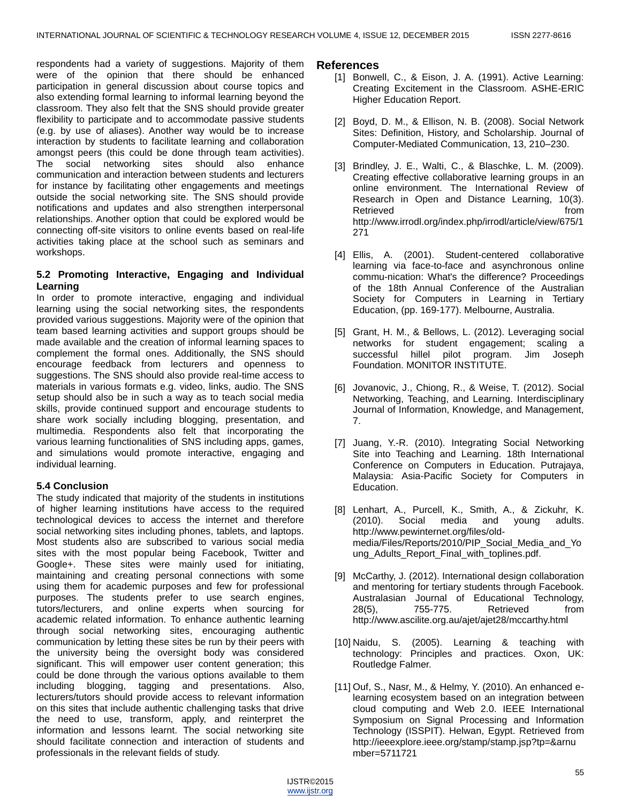respondents had a variety of suggestions. Majority of them were of the opinion that there should be enhanced participation in general discussion about course topics and also extending formal learning to informal learning beyond the classroom. They also felt that the SNS should provide greater flexibility to participate and to accommodate passive students (e.g. by use of aliases). Another way would be to increase interaction by students to facilitate learning and collaboration amongst peers (this could be done through team activities). The social networking sites should also enhance communication and interaction between students and lecturers for instance by facilitating other engagements and meetings outside the social networking site. The SNS should provide notifications and updates and also strengthen interpersonal relationships. Another option that could be explored would be connecting off-site visitors to online events based on real-life activities taking place at the school such as seminars and workshops.

# **5.2 Promoting Interactive, Engaging and Individual Learning**

In order to promote interactive, engaging and individual learning using the social networking sites, the respondents provided various suggestions. Majority were of the opinion that team based learning activities and support groups should be made available and the creation of informal learning spaces to complement the formal ones. Additionally, the SNS should encourage feedback from lecturers and openness to suggestions. The SNS should also provide real-time access to materials in various formats e.g. video, links, audio. The SNS setup should also be in such a way as to teach social media skills, provide continued support and encourage students to share work socially including blogging, presentation, and multimedia. Respondents also felt that incorporating the various learning functionalities of SNS including apps, games, and simulations would promote interactive, engaging and individual learning.

# **5.4 Conclusion**

The study indicated that majority of the students in institutions of higher learning institutions have access to the required technological devices to access the internet and therefore social networking sites including phones, tablets, and laptops. Most students also are subscribed to various social media sites with the most popular being Facebook, Twitter and Google+. These sites were mainly used for initiating, maintaining and creating personal connections with some using them for academic purposes and few for professional purposes. The students prefer to use search engines, tutors/lecturers, and online experts when sourcing for academic related information. To enhance authentic learning through social networking sites, encouraging authentic communication by letting these sites be run by their peers with the university being the oversight body was considered significant. This will empower user content generation; this could be done through the various options available to them including blogging, tagging and presentations. Also, lecturers/tutors should provide access to relevant information on this sites that include authentic challenging tasks that drive the need to use, transform, apply, and reinterpret the information and lessons learnt. The social networking site should facilitate connection and interaction of students and professionals in the relevant fields of study.

## **References**

- [1] Bonwell, C., & Eison, J. A. (1991). Active Learning: Creating Excitement in the Classroom. ASHE-ERIC Higher Education Report.
- [2] Boyd, D. M., & Ellison, N. B. (2008). Social Network Sites: Definition, History, and Scholarship. Journal of Computer-Mediated Communication, 13, 210–230.
- [3] Brindley, J. E., Walti, C., & Blaschke, L. M. (2009). Creating effective collaborative learning groups in an online environment. The International Review of Research in Open and Distance Learning, 10(3). Retrieved **from** *Retrieved Retrieved* http://www.irrodl.org/index.php/irrodl/article/view/675/1 271
- [4] Ellis, A. (2001). Student-centered collaborative learning via face-to-face and asynchronous online commu-nication: What's the difference? Proceedings of the 18th Annual Conference of the Australian Society for Computers in Learning in Tertiary Education, (pp. 169-177). Melbourne, Australia.
- [5] Grant, H. M., & Bellows, L. (2012). Leveraging social networks for student engagement; scaling a successful hillel pilot program. Jim Joseph Foundation. MONITOR INSTITUTE.
- [6] Jovanovic, J., Chiong, R., & Weise, T. (2012). Social Networking, Teaching, and Learning. Interdisciplinary Journal of Information, Knowledge, and Management, 7.
- [7] Juang, Y.-R. (2010). Integrating Social Networking Site into Teaching and Learning. 18th International Conference on Computers in Education. Putrajaya, Malaysia: Asia-Pacific Society for Computers in Education.
- [8] Lenhart, A., Purcell, K., Smith, A., & Zickuhr, K. (2010). Social media and young adults. http://www.pewinternet.org/files/oldmedia/Files/Reports/2010/PIP\_Social\_Media\_and\_Yo ung\_Adults\_Report\_Final\_with\_toplines.pdf.
- [9] McCarthy, J. (2012). International design collaboration and mentoring for tertiary students through Facebook. Australasian Journal of Educational Technology, 28(5), 755-775. Retrieved from http://www.ascilite.org.au/ajet/ajet28/mccarthy.html
- [10] Naidu, S. (2005). Learning & teaching with technology: Principles and practices. Oxon, UK: Routledge Falmer.
- [11] Ouf, S., Nasr, M., & Helmy, Y. (2010). An enhanced elearning ecosystem based on an integration between cloud computing and Web 2.0. IEEE International Symposium on Signal Processing and Information Technology (ISSPIT). Helwan, Egypt. Retrieved from http://ieeexplore.ieee.org/stamp/stamp.jsp?tp=&arnu mber=5711721